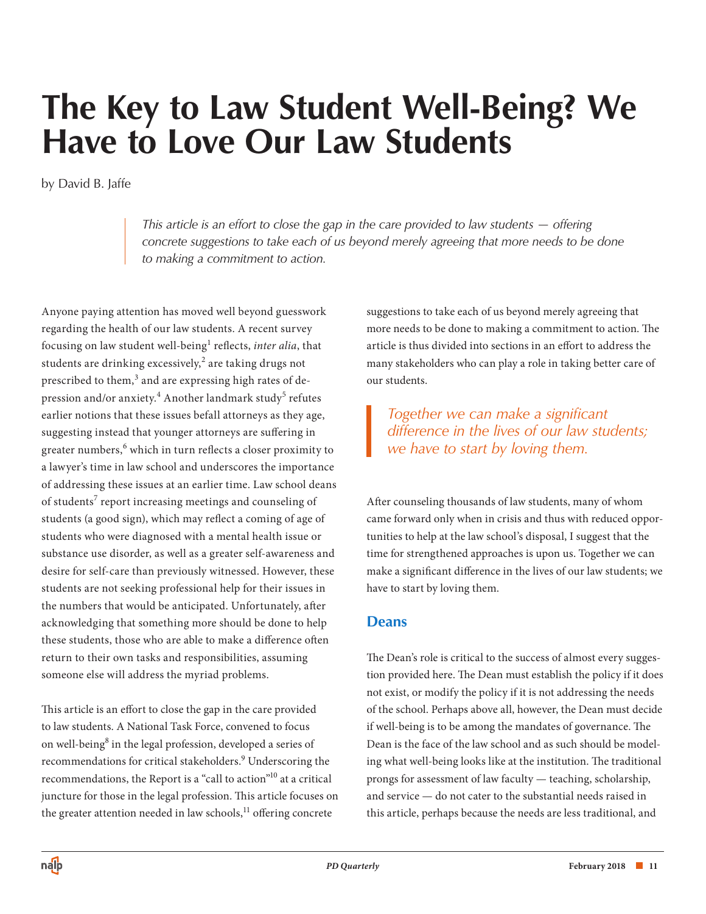# **The Key to Law Student Well-Being? We Have to Love Our Law Students**

by David B. Jaffe

*This article is an effort to close the gap in the care provided to law students — offering concrete suggestions to take each of us beyond merely agreeing that more needs to be done to making a commitment to action.* 

Anyone paying attention has moved well beyond guesswork regarding the health of our law students. A recent survey focusing on law student well-being<sup>1</sup> reflects, *inter alia*, that students are drinking excessively, $^2$  are taking drugs not prescribed to them, $^3$  and are expressing high rates of de pression and/or anxiety. $^4$  Another landmark study $^5$  refutes earlier notions that these issues befall attorneys as they age, suggesting instead that younger attorneys are suffering in greater numbers, $^6$  which in turn reflects a closer proximity to a lawyer's time in law school and underscores the importance of addressing these issues at an earlier time. Law school deans of students<sup>7</sup> report increasing meetings and counseling of students (a good sign), which may reflect a coming of age of students who were diagnosed with a mental health issue or substance use disorder, as well as a greater self-awareness and desire for self-care than previously witnessed. However, these students are not seeking professional help for their issues in the numbers that would be anticipated. Unfortunately, after acknowledging that something more should be done to help these students, those who are able to make a difference often return to their own tasks and responsibilities, assuming someone else will address the myriad problems.

This article is an effort to close the gap in the care provided to law students. A National Task Force, convened to focus on well-being<sup>8</sup> in the legal profession, developed a series of recommendations for critical stakeholders.<sup>9</sup> Underscoring the recommendations, the Report is a "call to action"10 at a critical juncture for those in the legal profession. This article focuses on the greater attention needed in law schools, $^{11}$  offering concrete

suggestions to take each of us beyond merely agreeing that more needs to be done to making a commitment to action. The article is thus divided into sections in an effort to address the many stakeholders who can play a role in taking better care of our students.

*Together we can make a significant difference in the lives of our law students; we have to start by loving them.* 

After counseling thousands of law students, many of whom came forward only when in crisis and thus with reduced opportunities to help at the law school's disposal, I suggest that the time for strengthened approaches is upon us. Together we can make a significant difference in the lives of our law students; we have to start by loving them.

#### **Deans**

The Dean's role is critical to the success of almost every suggestion provided here. The Dean must establish the policy if it does not exist, or modify the policy if it is not addressing the needs of the school. Perhaps above all, however, the Dean must decide if well-being is to be among the mandates of governance. The Dean is the face of the law school and as such should be modeling what well-being looks like at the institution. The traditional prongs for assessment of law faculty — teaching, scholarship, and service — do not cater to the substantial needs raised in this article, perhaps because the needs are less traditional, and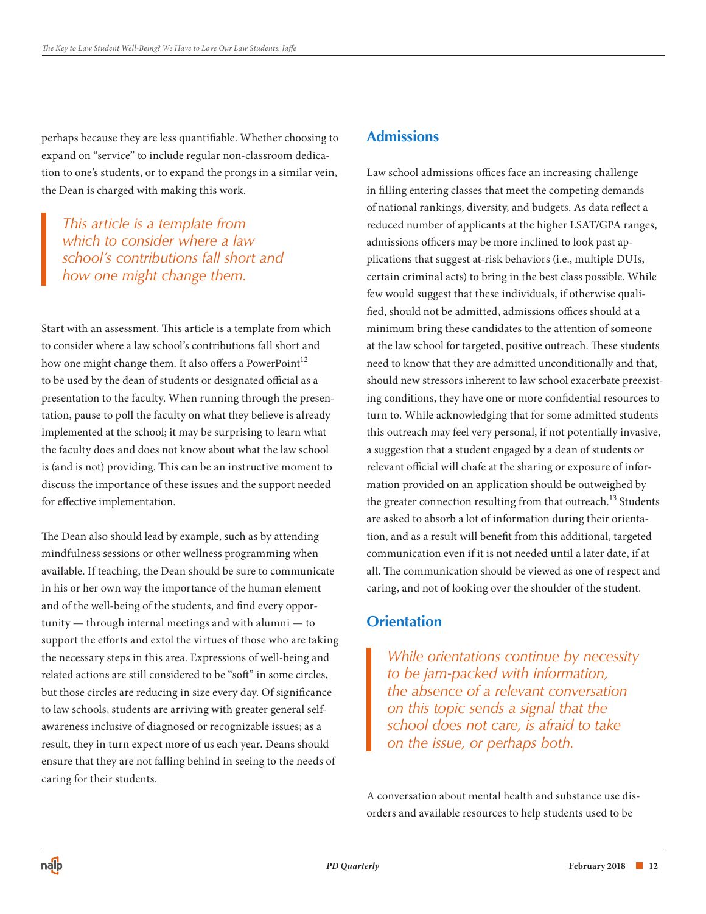perhaps because they are less quantifiable. Whether choosing to expand on "service" to include regular non-classroom dedication to one's students, or to expand the prongs in a similar vein, the Dean is charged with making this work.

*This article is a template from which to consider where a law school's contributions fall short and how one might change them.* 

Start with an assessment. This article is a template from which to consider where a law school's contributions fall short and how one might change them. It also offers a PowerPoint<sup>12</sup> to be used by the dean of students or designated official as a presentation to the faculty. When running through the presentation, pause to poll the faculty on what they believe is already implemented at the school; it may be surprising to learn what the faculty does and does not know about what the law school is (and is not) providing. This can be an instructive moment to discuss the importance of these issues and the support needed for effective implementation.

The Dean also should lead by example, such as by attending mindfulness sessions or other wellness programming when available. If teaching, the Dean should be sure to communicate in his or her own way the importance of the human element and of the well-being of the students, and find every opportunity — through internal meetings and with alumni — to support the efforts and extol the virtues of those who are taking the necessary steps in this area. Expressions of well-being and related actions are still considered to be "soft" in some circles, but those circles are reducing in size every day. Of significance to law schools, students are arriving with greater general selfawareness inclusive of diagnosed or recognizable issues; as a result, they in turn expect more of us each year. Deans should ensure that they are not falling behind in seeing to the needs of caring for their students.

# **Admissions**

Law school admissions offices face an increasing challenge in filling entering classes that meet the competing demands of national rankings, diversity, and budgets. As data reflect a reduced number of applicants at the higher LSAT/GPA ranges, admissions officers may be more inclined to look past applications that suggest at-risk behaviors (i.e., multiple DUIs, certain criminal acts) to bring in the best class possible. While few would suggest that these individuals, if otherwise qualified, should not be admitted, admissions offices should at a minimum bring these candidates to the attention of someone at the law school for targeted, positive outreach. These students need to know that they are admitted unconditionally and that, should new stressors inherent to law school exacerbate preexisting conditions, they have one or more confidential resources to turn to. While acknowledging that for some admitted students this outreach may feel very personal, if not potentially invasive, a suggestion that a student engaged by a dean of students or relevant official will chafe at the sharing or exposure of information provided on an application should be outweighed by the greater connection resulting from that outreach.<sup>13</sup> Students are asked to absorb a lot of information during their orientation, and as a result will benefit from this additional, targeted communication even if it is not needed until a later date, if at all. The communication should be viewed as one of respect and caring, and not of looking over the shoulder of the student.

# **Orientation**

*While orientations continue by necessity to be jam-packed with information, the absence of a relevant conversation on this topic sends a signal that the school does not care, is afraid to take on the issue, or perhaps both.* 

A conversation about mental health and substance use disorders and available resources to help students used to be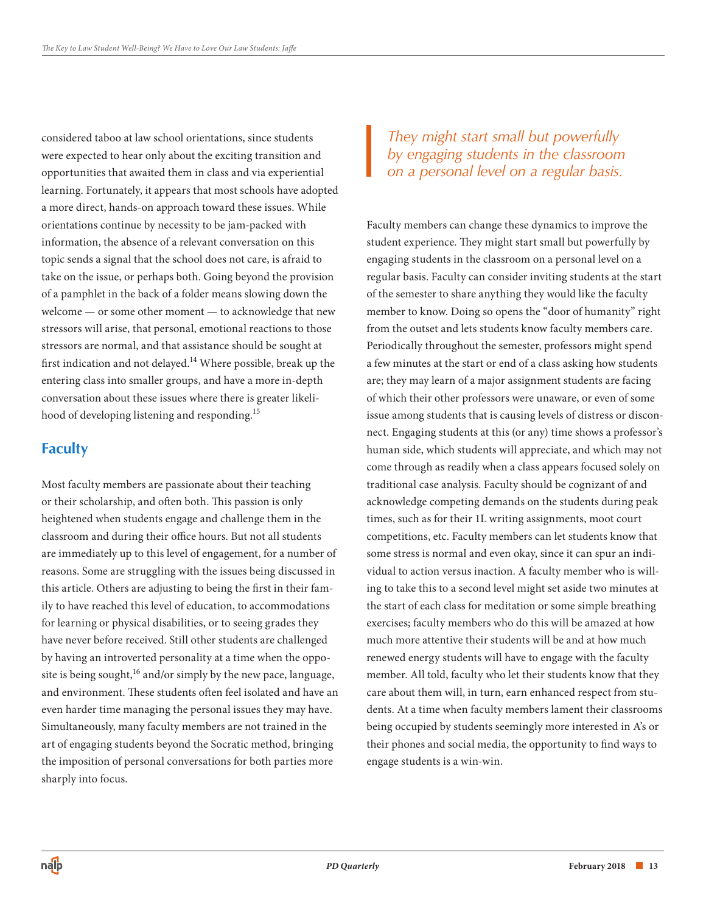considered taboo at law school orientations, since students were expected to hear only about the exciting transition and opportunities that awaited them in class and via experiential learning. Fortunately, it appears that most schools have adopted a more direct, hands-on approach toward these issues. While orientations continue by necessity to be jam-packed with information, the absence of a relevant conversation on this topic sends a signal that the school does not care, is afraid to take on the issue, or perhaps both. Going beyond the provision of a pamphlet in the back of a folder means slowing down the welcome — or some other moment — to acknowledge that new stressors will arise, that personal, emotional reactions to those stressors are normal, and that assistance should be sought at first indication and not delayed.<sup>14</sup> Where possible, break up the entering class into smaller groups, and have a more in-depth conversation about these issues where there is greater likelihood of developing listening and responding.<sup>15</sup>

# **Faculty**

Most faculty members are passionate about their teaching or their scholarship, and often both. This passion is only heightened when students engage and challenge them in the classroom and during their office hours. But not all students are immediately up to this level of engagement, for a number of reasons. Some are struggling with the issues being discussed in this article. Others are adjusting to being the first in their family to have reached this level of education, to accommodations for learning or physical disabilities, or to seeing grades they have never before received. Still other students are challenged by having an introverted personality at a time when the opposite is being sought,  $^{16}$  and/or simply by the new pace, language, and environment. These students often feel isolated and have an even harder time managing the personal issues they may have. Simultaneously, many faculty members are not trained in the art of engaging students beyond the Socratic method, bringing the imposition of personal conversations for both parties more sharply into focus.

*They might start small but powerfully by engaging students in the classroom on a personal level on a regular basis.* 

Faculty members can change these dynamics to improve the student experience. They might start small but powerfully by engaging students in the classroom on a personal level on a regular basis. Faculty can consider inviting students at the start of the semester to share anything they would like the faculty member to know. Doing so opens the "door of humanity" right from the outset and lets students know faculty members care. Periodically throughout the semester, professors might spend a few minutes at the start or end of a class asking how students are; they may learn of a major assignment students are facing of which their other professors were unaware, or even of some issue among students that is causing levels of distress or disconnect. Engaging students at this (or any) time shows a professor's human side, which students will appreciate, and which may not come through as readily when a class appears focused solely on traditional case analysis. Faculty should be cognizant of and acknowledge competing demands on the students during peak times, such as for their 1L writing assignments, moot court competitions, etc. Faculty members can let students know that some stress is normal and even okay, since it can spur an individual to action versus inaction. A faculty member who is willing to take this to a second level might set aside two minutes at the start of each class for meditation or some simple breathing exercises; faculty members who do this will be amazed at how much more attentive their students will be and at how much renewed energy students will have to engage with the faculty member. All told, faculty who let their students know that they care about them will, in turn, earn enhanced respect from students. At a time when faculty members lament their classrooms being occupied by students seemingly more interested in A's or their phones and social media, the opportunity to find ways to engage students is a win-win.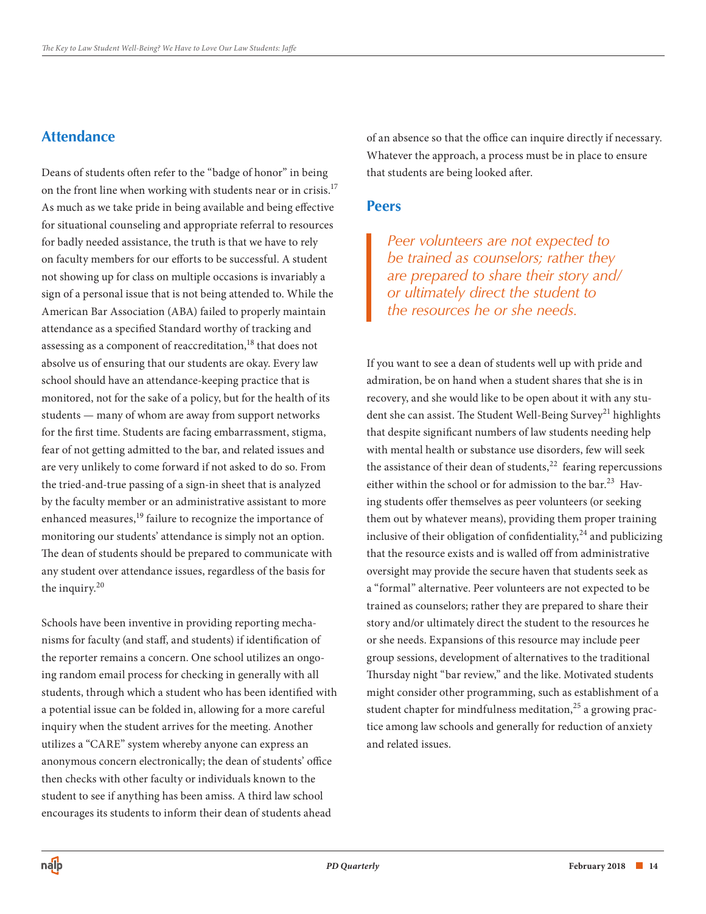# **Attendance**

Deans of students often refer to the "badge of honor" in being on the front line when working with students near or in crisis.<sup>17</sup> As much as we take pride in being available and being effective for situational counseling and appropriate referral to resources for badly needed assistance, the truth is that we have to rely on faculty members for our efforts to be successful. A student not showing up for class on multiple occasions is invariably a sign of a personal issue that is not being attended to. While the American Bar Association (ABA) failed to properly maintain attendance as a specified Standard worthy of tracking and assessing as a component of reaccreditation, $18$  that does not absolve us of ensuring that our students are okay. Every law school should have an attendance-keeping practice that is monitored, not for the sake of a policy, but for the health of its students — many of whom are away from support networks for the first time. Students are facing embarrassment, stigma, fear of not getting admitted to the bar, and related issues and are very unlikely to come forward if not asked to do so. From the tried-and-true passing of a sign-in sheet that is analyzed by the faculty member or an administrative assistant to more enhanced measures,<sup>19</sup> failure to recognize the importance of monitoring our students' attendance is simply not an option. The dean of students should be prepared to communicate with any student over attendance issues, regardless of the basis for the inquiry. $20$ 

Schools have been inventive in providing reporting mechanisms for faculty (and staff, and students) if identification of the reporter remains a concern. One school utilizes an ongoing random email process for checking in generally with all students, through which a student who has been identified with a potential issue can be folded in, allowing for a more careful inquiry when the student arrives for the meeting. Another utilizes a "CARE" system whereby anyone can express an anonymous concern electronically; the dean of students' office then checks with other faculty or individuals known to the student to see if anything has been amiss. A third law school encourages its students to inform their dean of students ahead

of an absence so that the office can inquire directly if necessary. Whatever the approach, a process must be in place to ensure that students are being looked after.

#### **Peers**

*Peer volunteers are not expected to be trained as counselors; rather they are prepared to share their story and/ or ultimately direct the student to the resources he or she needs.* 

If you want to see a dean of students well up with pride and admiration, be on hand when a student shares that she is in recovery, and she would like to be open about it with any student she can assist. The Student Well-Being Survey<sup>21</sup> highlights that despite significant numbers of law students needing help with mental health or substance use disorders, few will seek the assistance of their dean of students, $22$  fearing repercussions either within the school or for admission to the bar.<sup>23</sup> Having students offer themselves as peer volunteers (or seeking them out by whatever means), providing them proper training inclusive of their obligation of confidentiality, $^{24}$  and publicizing that the resource exists and is walled off from administrative oversight may provide the secure haven that students seek as a "formal" alternative. Peer volunteers are not expected to be trained as counselors; rather they are prepared to share their story and/or ultimately direct the student to the resources he or she needs. Expansions of this resource may include peer group sessions, development of alternatives to the traditional Thursday night "bar review," and the like. Motivated students might consider other programming, such as establishment of a student chapter for mindfulness meditation, $25$  a growing practice among law schools and generally for reduction of anxiety and related issues.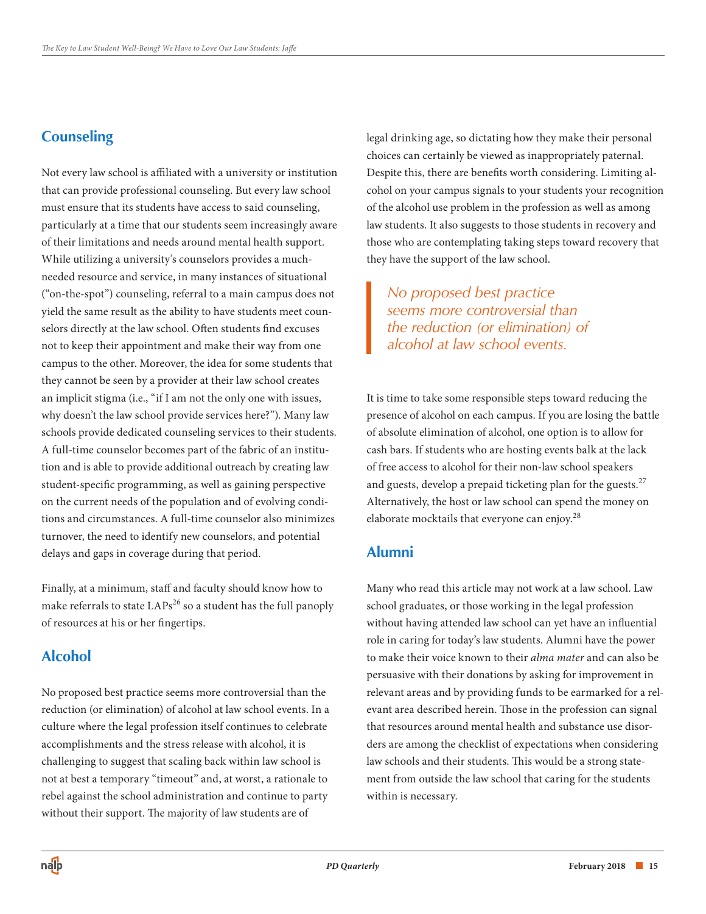# **Counseling**

Not every law school is affiliated with a university or institution that can provide professional counseling. But every law school must ensure that its students have access to said counseling, particularly at a time that our students seem increasingly aware of their limitations and needs around mental health support. While utilizing a university's counselors provides a muchneeded resource and service, in many instances of situational ("on-the-spot") counseling, referral to a main campus does not yield the same result as the ability to have students meet counselors directly at the law school. Often students find excuses not to keep their appointment and make their way from one campus to the other. Moreover, the idea for some students that they cannot be seen by a provider at their law school creates an implicit stigma (i.e., "if I am not the only one with issues, why doesn't the law school provide services here?"). Many law schools provide dedicated counseling services to their students. A full-time counselor becomes part of the fabric of an institution and is able to provide additional outreach by creating law student-specific programming, as well as gaining perspective on the current needs of the population and of evolving conditions and circumstances. A full-time counselor also minimizes turnover, the need to identify new counselors, and potential delays and gaps in coverage during that period.

Finally, at a minimum, staff and faculty should know how to make referrals to state  $LAPs^{26}$  so a student has the full panoply of resources at his or her fingertips.

# **Alcohol**

No proposed best practice seems more controversial than the reduction (or elimination) of alcohol at law school events. In a culture where the legal profession itself continues to celebrate accomplishments and the stress release with alcohol, it is challenging to suggest that scaling back within law school is not at best a temporary "timeout" and, at worst, a rationale to rebel against the school administration and continue to party without their support. The majority of law students are of

legal drinking age, so dictating how they make their personal choices can certainly be viewed as inappropriately paternal. Despite this, there are benefits worth considering. Limiting alcohol on your campus signals to your students your recognition of the alcohol use problem in the profession as well as among law students. It also suggests to those students in recovery and those who are contemplating taking steps toward recovery that they have the support of the law school.

*No proposed best practice seems more controversial than the reduction (or elimination) of alcohol at law school events.* 

It is time to take some responsible steps toward reducing the presence of alcohol on each campus. If you are losing the battle of absolute elimination of alcohol, one option is to allow for cash bars. If students who are hosting events balk at the lack of free access to alcohol for their non-law school speakers and guests, develop a prepaid ticketing plan for the guests. $27$ Alternatively, the host or law school can spend the money on elaborate mocktails that everyone can enjoy.<sup>28</sup>

# **Alumni**

Many who read this article may not work at a law school. Law school graduates, or those working in the legal profession without having attended law school can yet have an influential role in caring for today's law students. Alumni have the power to make their voice known to their *alma mater* and can also be persuasive with their donations by asking for improvement in relevant areas and by providing funds to be earmarked for a relevant area described herein. Those in the profession can signal that resources around mental health and substance use disorders are among the checklist of expectations when considering law schools and their students. This would be a strong statement from outside the law school that caring for the students within is necessary.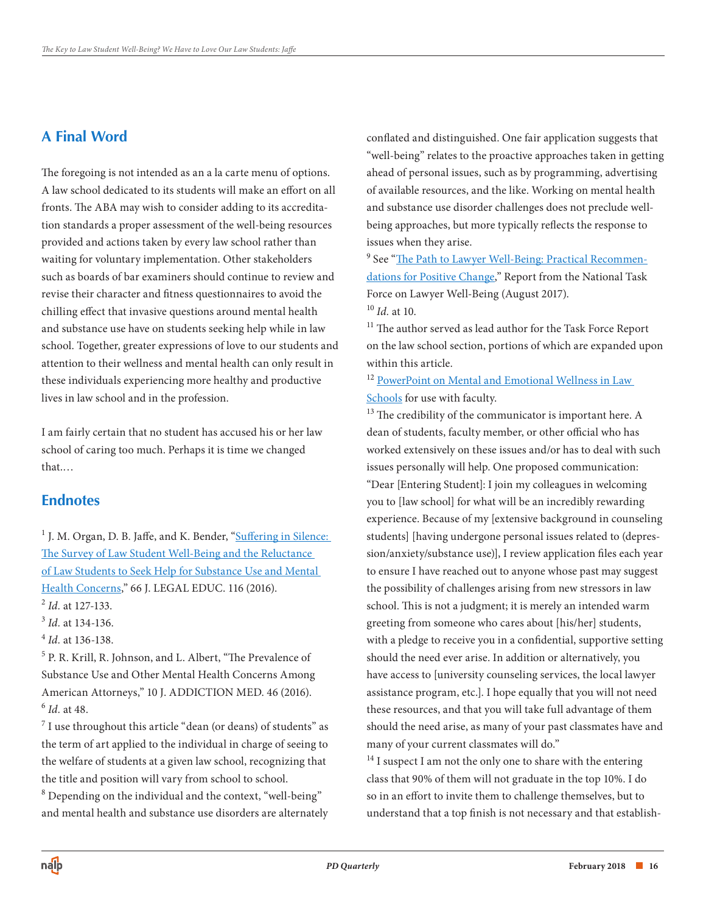# **A Final Word**

The foregoing is not intended as an a la carte menu of options. A law school dedicated to its students will make an effort on all fronts. The ABA may wish to consider adding to its accreditation standards a proper assessment of the well-being resources provided and actions taken by every law school rather than waiting for voluntary implementation. Other stakeholders such as boards of bar examiners should continue to review and revise their character and fitness questionnaires to avoid the chilling effect that invasive questions around mental health and substance use have on students seeking help while in law school. Together, greater expressions of love to our students and attention to their wellness and mental health can only result in these individuals experiencing more healthy and productive lives in law school and in the profession.

I am fairly certain that no student has accused his or her law school of caring too much. Perhaps it is time we changed that.…

### **Endnotes**

<sup>1</sup> J. M. Organ, D. B. Jaffe, and K. Bender, "Suffering in Silence: The Survey of Law Student Well-Being and the Reluctance of Law Students to Seek Help for Substance Use and Mental Health Concerns," 66 J. LEGAL EDUC. 116 (2016). <sup>2</sup> *Id.* at 127-133.

<sup>3</sup>*Id.* at 134-136.

<sup>4</sup>*Id.* at 136-138.

 <sup>6</sup>*Id.* at 48. 5 P. R. Krill, R. Johnson, and L. Albert, "The Prevalence of Substance Use and Other Mental Health Concerns Among American Attorneys," 10 J. ADDICTION MED. 46 (2016).

 $^7$  I use throughout this article "dean (or deans) of students" as the term of art applied to the individual in charge of seeing to the welfare of students at a given law school, recognizing that the title and position will vary from school to school.  $8$  Depending on the individual and the context, "well-being" and mental health and substance use disorders are alternately

conflated and distinguished. One fair application suggests that "well-being" relates to the proactive approaches taken in getting ahead of personal issues, such as by programming, advertising of available resources, and the like. Working on mental health and substance use disorder challenges does not preclude wellbeing approaches, but more typically reflects the response to issues when they arise.

<sup>9</sup> See "<u>The Path to Lawyer Well-Being: Practical Recommen</u> [dations for Positive Change," Report from the National Task](https://www.americanbar.org/groups/lawyer_assistance/task_force_report.html)  Force on Lawyer Well-Being (August 2017).

<sup>10</sup>*Id.* at 10.

<sup>11</sup> The author served as lead author for the Task Force Report on the law school section, portions of which are expanded upon within this article.

<sup>12</sup> PowerPoint on Mental and Emotional Wellness in Law Schools for use with faculty.

<sup>13</sup> The credibility of the communicator is important here. A dean of students, faculty member, or other official who has worked extensively on these issues and/or has to deal with such issues personally will help. One proposed communication: "Dear [Entering Student]: I join my colleagues in welcoming you to [law school] for what will be an incredibly rewarding experience. Because of my [extensive background in counseling students] [having undergone personal issues related to (depression/anxiety/substance use)], I review application files each year to ensure I have reached out to anyone whose past may suggest the possibility of challenges arising from new stressors in law school. This is not a judgment; it is merely an intended warm greeting from someone who cares about [his/her] students, with a pledge to receive you in a confidential, supportive setting should the need ever arise. In addition or alternatively, you have access to [university counseling services, the local lawyer assistance program, etc.]. I hope equally that you will not need these resources, and that you will take full advantage of them should the need arise, as many of your past classmates have and many of your current classmates will do."

 $14$  I suspect I am not the only one to share with the entering class that 90% of them will not graduate in the top 10%. I do so in an effort to invite them to challenge themselves, but to understand that a top finish is not necessary and that establish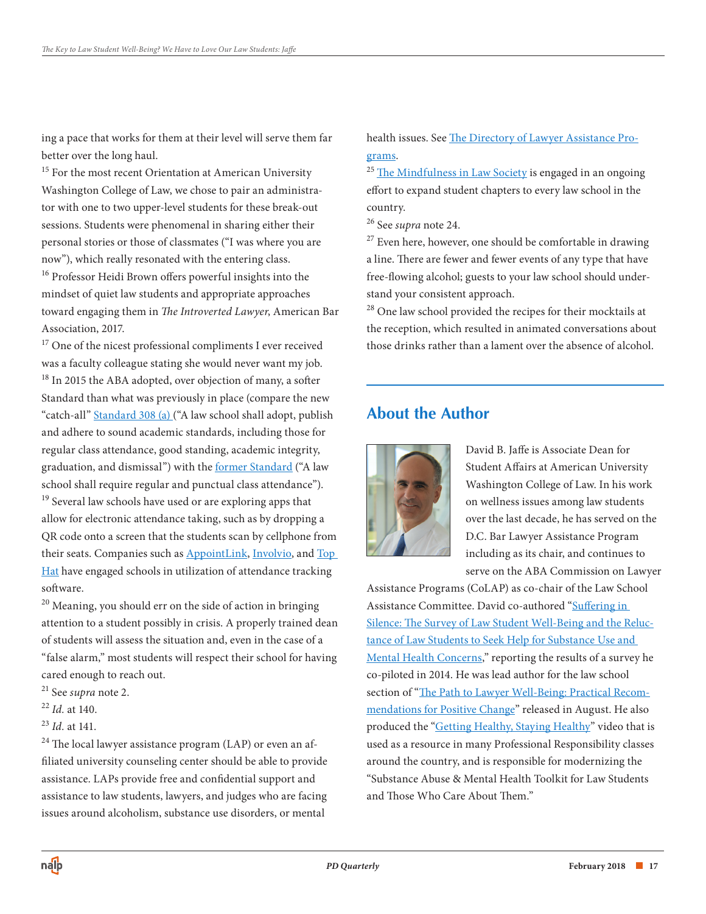ing a pace that works for them at their level will serve them far better over the long haul.

<sup>15</sup> For the most recent Orientation at American University Washington College of Law, we chose to pair an administrator with one to two upper-level students for these break-out sessions. Students were phenomenal in sharing either their personal stories or those of classmates ("I was where you are now"), which really resonated with the entering class.

 toward engaging them in *The Introverted Lawyer*, American Bar 16 Professor Heidi Brown offers powerful insights into the mindset of quiet law students and appropriate approaches Association, 2017.

<sup>17</sup> One of the nicest professional compliments I ever received was a faculty colleague stating she would never want my job. <sup>18</sup> In 2015 the ABA adopted, over objection of many, a softer Standard than what was previously in place (compare the new "catch-all" [Standard 308 \(a\) \(](https://www.americanbar.org/content/dam/aba/publications/misc/legal_education/Standards/2017-2018ABAStandardsforApprovalofLawSchools/2017_2018_standards_chapter3.authcheckdam.pdf)"A law school shall adopt, publish and adhere to sound academic standards, including those for regular class attendance, good standing, academic integrity, graduation, and dismissal") with the [former Standard \(](https://www.americanbar.org/content/dam/aba/publications/misc/legal_education/Standards/2013_2014_final_aba_standards_and_rules_of_procedure_for_approval_of_law_schools_body.authcheckdam.pdf)"A law school shall require regular and punctual class attendance"). <sup>19</sup> Several law schools have used or are exploring apps that allow for electronic attendance taking, such as by dropping a QR code onto a screen that the students scan by cellphone from their seats. Companies such as [AppointLink,](http://appointlink.com) [Involvio,](https://involvio.com/) and [Top](https://tophat.com/)  [Hat](https://tophat.com/) have engaged schools in utilization of attendance tracking software.

<sup>20</sup> Meaning, you should err on the side of action in bringing attention to a student possibly in crisis. A properly trained dean of students will assess the situation and, even in the case of a "false alarm," most students will respect their school for having cared enough to reach out.

- 21 See *supra* note 2.
- <sup>22</sup>*Id.* at 140.
- <sup>23</sup>*Id.* at 141.

 $24$  The local lawyer assistance program (LAP) or even an affiliated university counseling center should be able to provide assistance. LAPs provide free and confidential support and assistance to law students, lawyers, and judges who are facing issues around alcoholism, substance use disorders, or mental

[health issues. See The Directory of Lawyer Assistance Pro](https://www.americanbar.org/groups/lawyer_assistance/resources/lap_programs_by_state.html)grams.

<sup>25</sup> The Mindfulness in Law Society is engaged in an ongoing effort to expand student chapters to every law school in the country.

26 See *supra* note 24.

 $27$  Even here, however, one should be comfortable in drawing a line. There are fewer and fewer events of any type that have free-flowing alcohol; guests to your law school should understand your consistent approach.

<sup>28</sup> One law school provided the recipes for their mocktails at the reception, which resulted in animated conversations about those drinks rather than a lament over the absence of alcohol.

# **About the Author**



David B. Jaffe is Associate Dean for Student Affairs at American University Washington College of Law. In his work on wellness issues among law students over the last decade, he has served on the D.C. Bar Lawyer Assistance Program including as its chair, and continues to serve on the ABA Commission on Lawyer

Assistance Programs (CoLAP) as co-chair of the Law School Assistance Committee. David co-authored "Suffering in Silence: The Survey of Law Student Well-Being and the Reluctance of Law Students to Seek Help for Substance Use and [Mental Health Concerns," reporting the results of a survey he](https://jle.aals.org/home/vol66/iss1/13/)  co-piloted in 2014. He was lead author for the law school [section of "The Path to Lawyer Well-Being: Practical Recom](https://www.americanbar.org/groups/lawyer_assistance/task_force_report.html)mendations for Positive Change" released in August. He also produced the ["Getting Healthy, Staying Healthy](http://media.wcl.american.edu/Mediasite/Play/acfe55debf3d4910930e8657b168983e)" video that is used as a resource in many Professional Responsibility classes around the country, and is responsible for modernizing the "Substance Abuse & Mental Health Toolkit for Law Students and Those Who Care About Them."